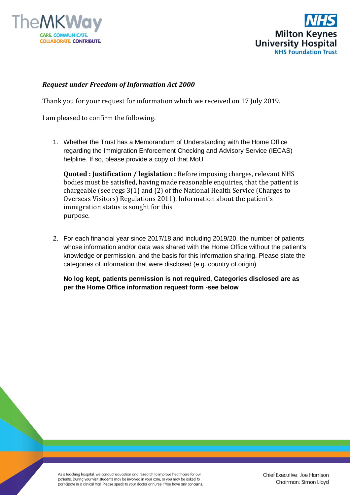



#### *Request under Freedom of Information Act 2000*

Thank you for your request for information which we received on 17 July 2019.

I am pleased to confirm the following.

1. Whether the Trust has a Memorandum of Understanding with the Home Office regarding the Immigration Enforcement Checking and Advisory Service (IECAS) helpline. If so, please provide a copy of that MoU

**Quoted : Justification / legislation :** Before imposing charges, relevant NHS bodies must be satisfied, having made reasonable enquiries, that the patient is chargeable (see regs 3(1) and (2) of the National Health Service (Charges to Overseas Visitors) Regulations 2011). Information about the patient's immigration status is sought for this purpose.

2. For each financial year since 2017/18 and including 2019/20, the number of patients whose information and/or data was shared with the Home Office without the patient's knowledge or permission, and the basis for this information sharing. Please state the categories of information that were disclosed (e.g. country of origin)

**No log kept, patients permission is not required, Categories disclosed are as per the Home Office information request form -see below**

As a teaching hospital, we conduct education and research to improve healthcare for our patients. During your visit students may be involved in your care, or you may be asked to participate in a clinical trial. Please speak to your doctor or nurse if you have any concerns.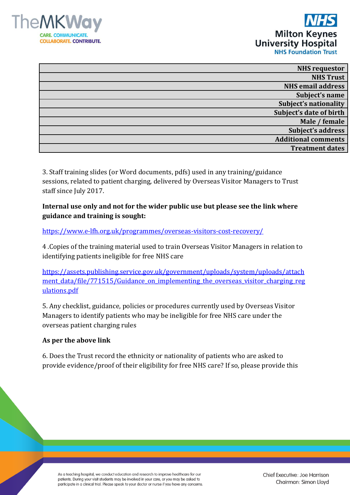



| <b>NHS</b> requestor         |
|------------------------------|
| <b>NHS Trust</b>             |
| <b>NHS email address</b>     |
| Subject's name               |
| <b>Subject's nationality</b> |
| Subject's date of birth      |
| Male / female                |
| Subject's address            |
| <b>Additional comments</b>   |
| <b>Treatment dates</b>       |
|                              |

3. Staff training slides (or Word documents, pdfs) used in any training/guidance sessions, related to patient charging, delivered by Overseas Visitor Managers to Trust staff since July 2017.

**Internal use only and not for the wider public use but please see the link where guidance and training is sought:**

<https://www.e-lfh.org.uk/programmes/overseas-visitors-cost-recovery/>

4 .Copies of the training material used to train Overseas Visitor Managers in relation to identifying patients ineligible for free NHS care

[https://assets.publishing.service.gov.uk/government/uploads/system/uploads/attach](https://assets.publishing.service.gov.uk/government/uploads/system/uploads/attachment_data/file/771515/Guidance_on_implementing_the_overseas_visitor_charging_regulations.pdf) ment data/file/771515/Guidance on implementing the overseas visitor charging reg [ulations.pdf](https://assets.publishing.service.gov.uk/government/uploads/system/uploads/attachment_data/file/771515/Guidance_on_implementing_the_overseas_visitor_charging_regulations.pdf)

5. Any checklist, guidance, policies or procedures currently used by Overseas Visitor Managers to identify patients who may be ineligible for free NHS care under the overseas patient charging rules

### **As per the above link**

6. Does the Trust record the ethnicity or nationality of patients who are asked to provide evidence/proof of their eligibility for free NHS care? If so, please provide this

As a teaching hospital, we conduct education and research to improve healthcare for our patients. During your visit students may be involved in your care, or you may be asked to participate in a clinical trial. Please speak to your doctor or nurse if you have any concerns. Chief Executive: Joe Harrison Chairman: Simon Lloyd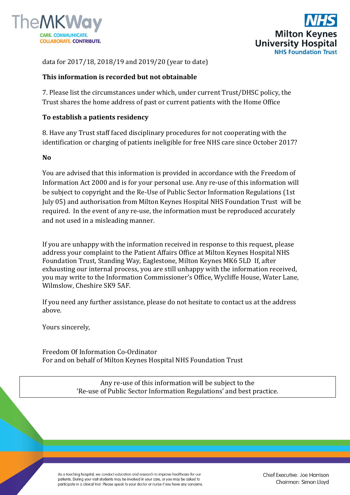



data for 2017/18, 2018/19 and 2019/20 (year to date)

# **This information is recorded but not obtainable**

7. Please list the circumstances under which, under current Trust/DHSC policy, the Trust shares the home address of past or current patients with the Home Office

# **To establish a patients residency**

8. Have any Trust staff faced disciplinary procedures for not cooperating with the identification or charging of patients ineligible for free NHS care since October 2017?

#### **No**

You are advised that this information is provided in accordance with the Freedom of Information Act 2000 and is for your personal use. Any re-use of this information will be subject to copyright and the Re-Use of Public Sector Information Regulations (1st July 05) and authorisation from Milton Keynes Hospital NHS Foundation Trust will be required. In the event of any re-use, the information must be reproduced accurately and not used in a misleading manner.

If you are unhappy with the information received in response to this request, please address your complaint to the Patient Affairs Office at Milton Keynes Hospital NHS Foundation Trust, Standing Way, Eaglestone, Milton Keynes MK6 5LD If, after exhausting our internal process, you are still unhappy with the information received, you may write to the Information Commissioner's Office, Wycliffe House, Water Lane, Wilmslow, Cheshire SK9 5AF.

If you need any further assistance, please do not hesitate to contact us at the address above.

Yours sincerely,

Freedom Of Information Co-Ordinator For and on behalf of Milton Keynes Hospital NHS Foundation Trust

> Any re-use of this information will be subject to the 'Re-use of Public Sector Information Regulations' and best practice.

As a teaching hospital, we conduct education and research to improve healthcare for our patients. During your visit students may be involved in your care, or you may be asked to participate in a clinical trial. Please speak to your doctor or nurse if you have any concerns. Chief Executive: Joe Harrison Chairman: Simon Lloyd